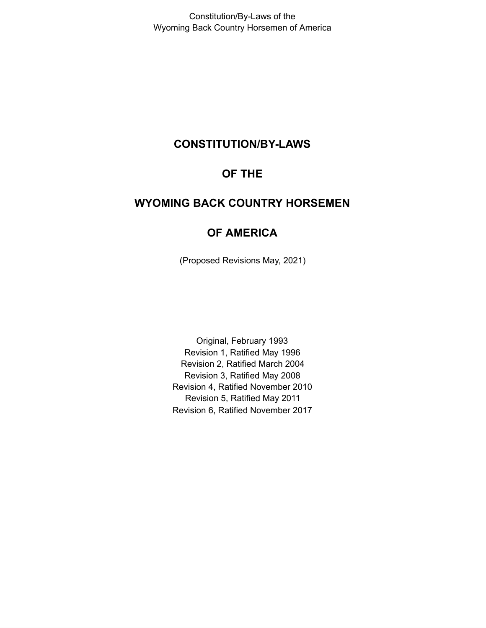# **CONSTITUTION/BY-LAWS**

# **OF THE**

# **WYOMING BACK COUNTRY HORSEMEN**

# **OF AMERICA**

(Proposed Revisions May, 2021)

Original, February 1993 Revision 1, Ratified May 1996 Revision 2, Ratified March 2004 Revision 3, Ratified May 2008 Revision 4, Ratified November 2010 Revision 5, Ratified May 2011 Revision 6, Ratified November 2017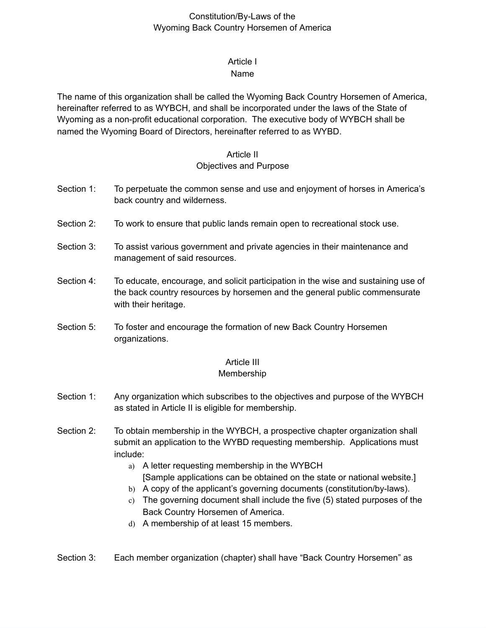# Article I

#### Name

The name of this organization shall be called the Wyoming Back Country Horsemen of America, hereinafter referred to as WYBCH, and shall be incorporated under the laws of the State of Wyoming as a non-profit educational corporation. The executive body of WYBCH shall be named the Wyoming Board of Directors, hereinafter referred to as WYBD.

## Article II Objectives and Purpose

- Section 1: To perpetuate the common sense and use and enjoyment of horses in America's back country and wilderness.
- Section 2: To work to ensure that public lands remain open to recreational stock use.
- Section 3: To assist various government and private agencies in their maintenance and management of said resources.
- Section 4: To educate, encourage, and solicit participation in the wise and sustaining use of the back country resources by horsemen and the general public commensurate with their heritage.
- Section 5: To foster and encourage the formation of new Back Country Horsemen organizations.

#### Article III

#### Membership

- Section 1: Any organization which subscribes to the objectives and purpose of the WYBCH as stated in Article II is eligible for membership.
- Section 2: To obtain membership in the WYBCH, a prospective chapter organization shall submit an application to the WYBD requesting membership. Applications must include:
	- a) A letter requesting membership in the WYBCH [Sample applications can be obtained on the state or national website.]
	- b) A copy of the applicant's governing documents (constitution/by-laws).
	- c) The governing document shall include the five (5) stated purposes of the Back Country Horsemen of America.
	- d) A membership of at least 15 members.
- Section 3: Each member organization (chapter) shall have "Back Country Horsemen" as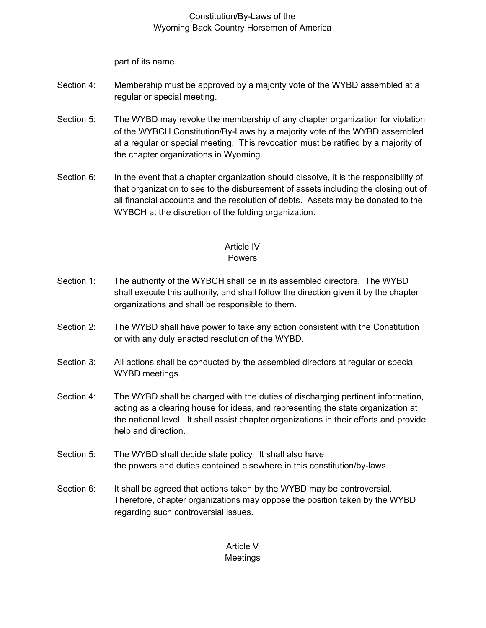part of its name.

- Section 4: Membership must be approved by a majority vote of the WYBD assembled at a regular or special meeting.
- Section 5: The WYBD may revoke the membership of any chapter organization for violation of the WYBCH Constitution/By-Laws by a majority vote of the WYBD assembled at a regular or special meeting. This revocation must be ratified by a majority of the chapter organizations in Wyoming.
- Section 6: In the event that a chapter organization should dissolve, it is the responsibility of that organization to see to the disbursement of assets including the closing out of all financial accounts and the resolution of debts. Assets may be donated to the WYBCH at the discretion of the folding organization.

# Article IV

# Powers

- Section 1: The authority of the WYBCH shall be in its assembled directors. The WYBD shall execute this authority, and shall follow the direction given it by the chapter organizations and shall be responsible to them.
- Section 2: The WYBD shall have power to take any action consistent with the Constitution or with any duly enacted resolution of the WYBD.
- Section 3: All actions shall be conducted by the assembled directors at regular or special WYBD meetings.
- Section 4: The WYBD shall be charged with the duties of discharging pertinent information, acting as a clearing house for ideas, and representing the state organization at the national level. It shall assist chapter organizations in their efforts and provide help and direction.
- Section 5: The WYBD shall decide state policy. It shall also have the powers and duties contained elsewhere in this constitution/by-laws.
- Section 6: It shall be agreed that actions taken by the WYBD may be controversial. Therefore, chapter organizations may oppose the position taken by the WYBD regarding such controversial issues.

Article V **Meetings**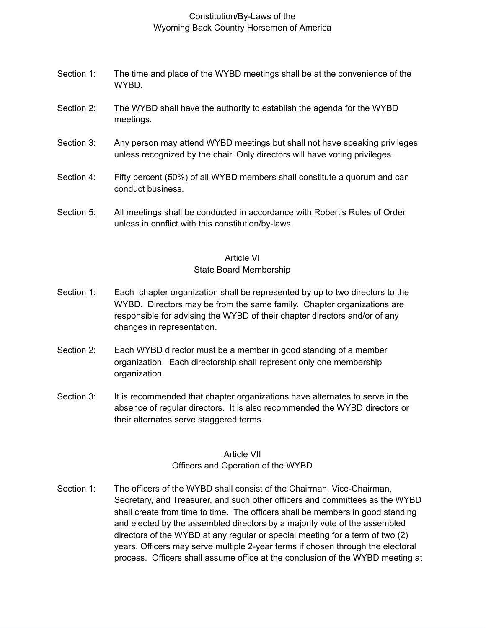- Section 1: The time and place of the WYBD meetings shall be at the convenience of the WYBD.
- Section 2: The WYBD shall have the authority to establish the agenda for the WYBD meetings.
- Section 3: Any person may attend WYBD meetings but shall not have speaking privileges unless recognized by the chair. Only directors will have voting privileges.
- Section 4: Fifty percent (50%) of all WYBD members shall constitute a quorum and can conduct business.
- Section 5: All meetings shall be conducted in accordance with Robert's Rules of Order unless in conflict with this constitution/by-laws.

#### Article VI

#### State Board Membership

- Section 1: Each chapter organization shall be represented by up to two directors to the WYBD. Directors may be from the same family. Chapter organizations are responsible for advising the WYBD of their chapter directors and/or of any changes in representation.
- Section 2: Each WYBD director must be a member in good standing of a member organization. Each directorship shall represent only one membership organization.
- Section 3: It is recommended that chapter organizations have alternates to serve in the absence of regular directors. It is also recommended the WYBD directors or their alternates serve staggered terms.

## Article VII Officers and Operation of the WYBD

Section 1: The officers of the WYBD shall consist of the Chairman, Vice-Chairman, Secretary, and Treasurer, and such other officers and committees as the WYBD shall create from time to time. The officers shall be members in good standing and elected by the assembled directors by a majority vote of the assembled directors of the WYBD at any regular or special meeting for a term of two (2) years. Officers may serve multiple 2-year terms if chosen through the electoral process. Officers shall assume office at the conclusion of the WYBD meeting at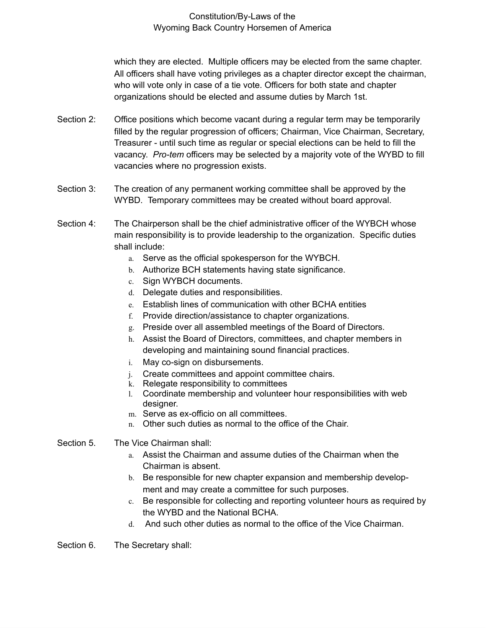which they are elected. Multiple officers may be elected from the same chapter. All officers shall have voting privileges as a chapter director except the chairman, who will vote only in case of a tie vote. Officers for both state and chapter organizations should be elected and assume duties by March 1st.

- Section 2: Office positions which become vacant during a regular term may be temporarily filled by the regular progression of officers; Chairman, Vice Chairman, Secretary, Treasurer - until such time as regular or special elections can be held to fill the vacancy. *Pro-tem* officers may be selected by a majority vote of the WYBD to fill vacancies where no progression exists.
- Section 3: The creation of any permanent working committee shall be approved by the WYBD. Temporary committees may be created without board approval.
- Section 4: The Chairperson shall be the chief administrative officer of the WYBCH whose main responsibility is to provide leadership to the organization. Specific duties shall include:
	- a. Serve as the official spokesperson for the WYBCH.
	- b. Authorize BCH statements having state significance.
	- c. Sign WYBCH documents.
	- d. Delegate duties and responsibilities.
	- e. Establish lines of communication with other BCHA entities
	- f. Provide direction/assistance to chapter organizations.
	- g. Preside over all assembled meetings of the Board of Directors.
	- h. Assist the Board of Directors, committees, and chapter members in developing and maintaining sound financial practices.
	- i. May co-sign on disbursements.
	- j. Create committees and appoint committee chairs.
	- k. Relegate responsibility to committees
	- l. Coordinate membership and volunteer hour responsibilities with web designer.
	- m. Serve as ex-officio on all committees.
	- n. Other such duties as normal to the office of the Chair.
- Section 5. The Vice Chairman shall:
	- a. Assist the Chairman and assume duties of the Chairman when the Chairman is absent.
	- b. Be responsible for new chapter expansion and membership development and may create a committee for such purposes.
	- c. Be responsible for collecting and reporting volunteer hours as required by the WYBD and the National BCHA.
	- d. And such other duties as normal to the office of the Vice Chairman.

Section 6. The Secretary shall: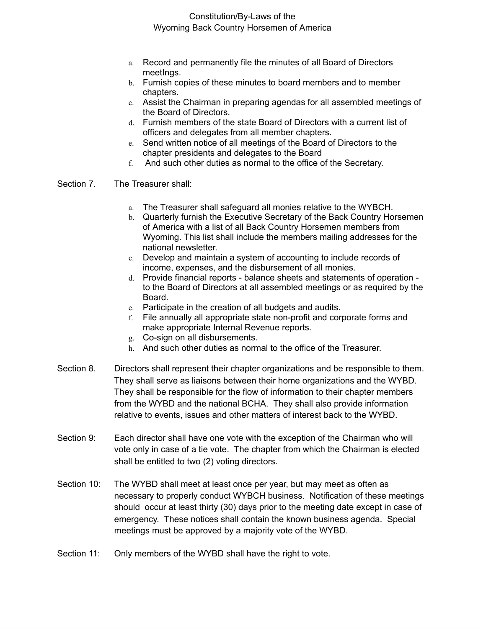- a. Record and permanently file the minutes of all Board of Directors meetIngs.
- b. Furnish copies of these minutes to board members and to member chapters.
- c. Assist the Chairman in preparing agendas for all assembled meetings of the Board of Directors.
- d. Furnish members of the state Board of Directors with a current list of officers and delegates from all member chapters.
- e. Send written notice of all meetings of the Board of Directors to the chapter presidents and delegates to the Board
- f. And such other duties as normal to the office of the Secretary.
- Section 7. The Treasurer shall:
	- a. The Treasurer shall safeguard all monies relative to the WYBCH.
	- b. Quarterly furnish the Executive Secretary of the Back Country Horsemen of America with a list of all Back Country Horsemen members from Wyoming. This list shall include the members mailing addresses for the national newsletter.
	- c. Develop and maintain a system of accounting to include records of income, expenses, and the disbursement of all monies.
	- d. Provide financial reports balance sheets and statements of operation to the Board of Directors at all assembled meetings or as required by the Board.
	- e. Participate in the creation of all budgets and audits.
	- f. File annually all appropriate state non-profit and corporate forms and make appropriate Internal Revenue reports.
	- g. Co-sign on all disbursements.
	- h. And such other duties as normal to the office of the Treasurer.
- Section 8. Directors shall represent their chapter organizations and be responsible to them. They shall serve as liaisons between their home organizations and the WYBD. They shall be responsible for the flow of information to their chapter members from the WYBD and the national BCHA. They shall also provide information relative to events, issues and other matters of interest back to the WYBD.
- Section 9: Each director shall have one vote with the exception of the Chairman who will vote only in case of a tie vote. The chapter from which the Chairman is elected shall be entitled to two (2) voting directors.
- Section 10: The WYBD shall meet at least once per year, but may meet as often as necessary to properly conduct WYBCH business. Notification of these meetings should occur at least thirty (30) days prior to the meeting date except in case of emergency. These notices shall contain the known business agenda. Special meetings must be approved by a majority vote of the WYBD.
- Section 11: Only members of the WYBD shall have the right to vote.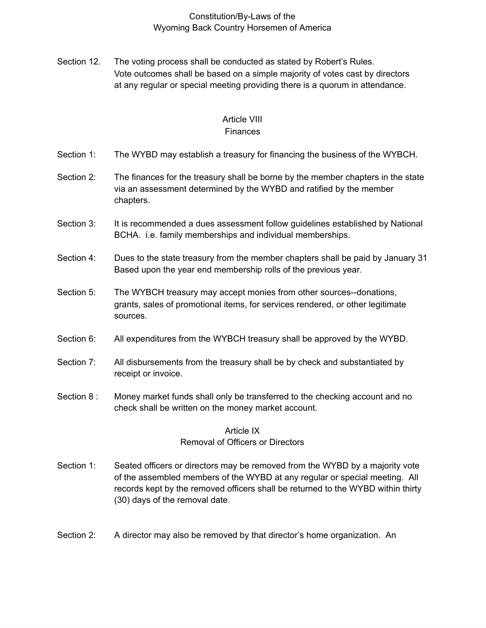Section 12. The voting process shall be conducted as stated by Robert's Rules. Vote outcomes shall be based on a simple majority of votes cast by directors at any regular or special meeting providing there is a quorum in attendance.

#### Article VIII **Finances**

- Section 1: The WYBD may establish a treasury for financing the business of the WYBCH.
- Section 2: The finances for the treasury shall be borne by the member chapters in the state via an assessment determined by the WYBD and ratified by the member chapters.
- Section 3: It is recommended a dues assessment follow guidelines established by National BCHA. i.e. family memberships and individual memberships.
- Section 4: Dues to the state treasury from the member chapters shall be paid by January 31 Based upon the year end membership rolls of the previous year.
- Section 5: The WYBCH treasury may accept monies from other sources--donations, grants, sales of promotional items, for services rendered, or other legitimate sources.
- Section 6: All expenditures from the WYBCH treasury shall be approved by the WYBD.
- Section 7: All disbursements from the treasury shall be by check and substantiated by receipt or invoice.
- Section 8 : Money market funds shall only be transferred to the checking account and no check shall be written on the money market account.

## Article IX Removal of Officers or Directors

- Section 1: Seated officers or directors may be removed from the WYBD by a majority vote of the assembled members of the WYBD at any regular or special meeting. All records kept by the removed officers shall be returned to the WYBD within thirty (30) days of the removal date.
- Section 2: A director may also be removed by that director's home organization. An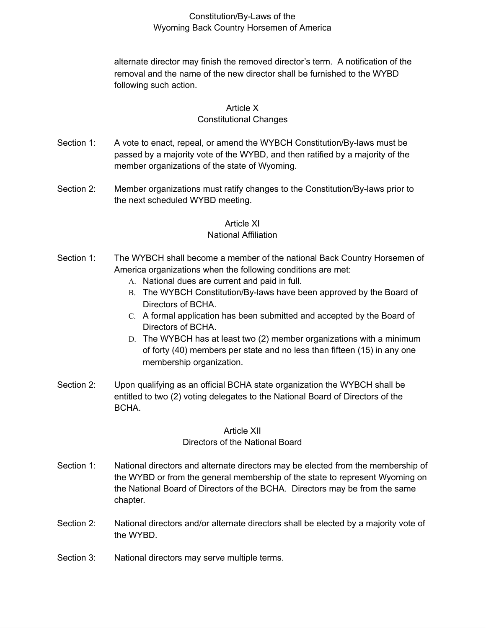alternate director may finish the removed director's term. A notification of the removal and the name of the new director shall be furnished to the WYBD following such action.

#### Article X

#### Constitutional Changes

- Section 1: A vote to enact, repeal, or amend the WYBCH Constitution/By-laws must be passed by a majority vote of the WYBD, and then ratified by a majority of the member organizations of the state of Wyoming.
- Section 2: Member organizations must ratify changes to the Constitution/By-laws prior to the next scheduled WYBD meeting.

#### Article XI

#### National Affiliation

- Section 1: The WYBCH shall become a member of the national Back Country Horsemen of America organizations when the following conditions are met:
	- A. National dues are current and paid in full.
	- B. The WYBCH Constitution/By-laws have been approved by the Board of Directors of BCHA.
	- C. A formal application has been submitted and accepted by the Board of Directors of BCHA.
	- D. The WYBCH has at least two (2) member organizations with a minimum of forty (40) members per state and no less than fifteen (15) in any one membership organization.
- Section 2: Upon qualifying as an official BCHA state organization the WYBCH shall be entitled to two (2) voting delegates to the National Board of Directors of the BCHA.

## Article XII Directors of the National Board

- Section 1: National directors and alternate directors may be elected from the membership of the WYBD or from the general membership of the state to represent Wyoming on the National Board of Directors of the BCHA. Directors may be from the same chapter.
- Section 2: National directors and/or alternate directors shall be elected by a majority vote of the WYBD.
- Section 3: National directors may serve multiple terms.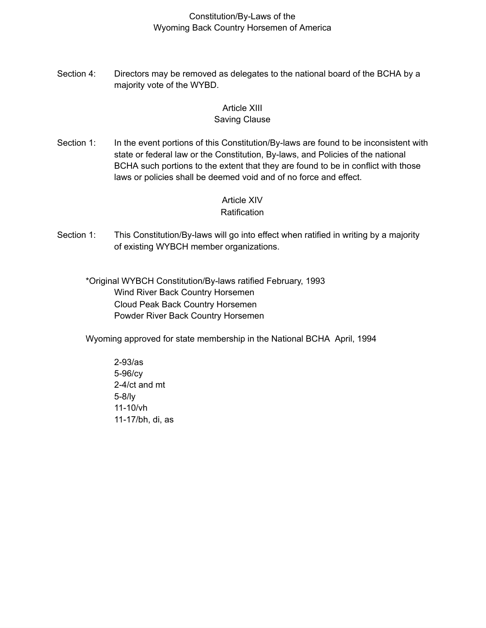Section 4: Directors may be removed as delegates to the national board of the BCHA by a majority vote of the WYBD.

# Article XIII

## Saving Clause

Section 1: In the event portions of this Constitution/By-laws are found to be inconsistent with state or federal law or the Constitution, By-laws, and Policies of the national BCHA such portions to the extent that they are found to be in conflict with those laws or policies shall be deemed void and of no force and effect.

# Article XIV

#### **Ratification**

Section 1: This Constitution/By-laws will go into effect when ratified in writing by a majority of existing WYBCH member organizations.

\*Original WYBCH Constitution/By-laws ratified February, 1993 Wind River Back Country Horsemen Cloud Peak Back Country Horsemen Powder River Back Country Horsemen

Wyoming approved for state membership in the National BCHA April, 1994

2-93/as 5-96/cy 2-4/ct and mt 5-8/ly 11-10/vh 11-17/bh, di, as